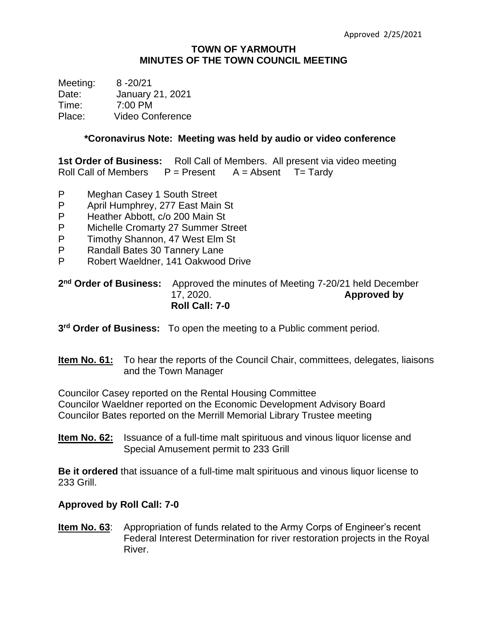#### **TOWN OF YARMOUTH MINUTES OF THE TOWN COUNCIL MEETING**

Meeting: 8 -20/21 Date: January 21, 2021 Time: 7:00 PM Place: Video Conference

#### **\*Coronavirus Note: Meeting was held by audio or video conference**

**1st Order of Business:** Roll Call of Members. All present via video meeting Roll Call of Members  $P =$  Present  $A =$  Absent  $T =$  Tardy

- P Meghan Casey 1 South Street
- P April Humphrey, 277 East Main St
- P Heather Abbott, c/o 200 Main St
- P Michelle Cromarty 27 Summer Street
- P Timothy Shannon, 47 West Elm St
- P Randall Bates 30 Tannery Lane
- P Robert Waeldner, 141 Oakwood Drive

#### 2<sup>nd</sup> Order of Business: Approved the minutes of Meeting 7-20/21 held December 17, 2020. **Approved by Roll Call: 7-0**

**3 rd Order of Business:** To open the meeting to a Public comment period.

### **Item No. 61:** To hear the reports of the Council Chair, committees, delegates, liaisons and the Town Manager

Councilor Casey reported on the Rental Housing Committee Councilor Waeldner reported on the Economic Development Advisory Board Councilor Bates reported on the Merrill Memorial Library Trustee meeting

**Item No. 62:** Issuance of a full-time malt spirituous and vinous liquor license and Special Amusement permit to 233 Grill

**Be it ordered** that issuance of a full-time malt spirituous and vinous liquor license to 233 Grill.

### **Approved by Roll Call: 7-0**

**Item No. 63:** Appropriation of funds related to the Army Corps of Engineer's recent Federal Interest Determination for river restoration projects in the Royal River.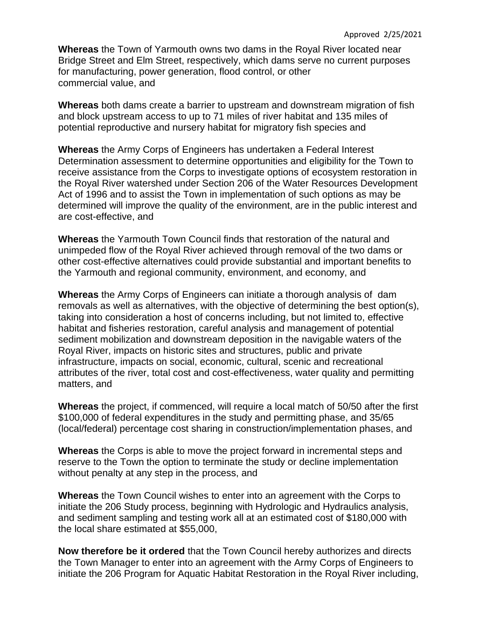**Whereas** the Town of Yarmouth owns two dams in the Royal River located near Bridge Street and Elm Street, respectively, which dams serve no current purposes for manufacturing, power generation, flood control, or other commercial value, and

**Whereas** both dams create a barrier to upstream and downstream migration of fish and block upstream access to up to 71 miles of river habitat and 135 miles of potential reproductive and nursery habitat for migratory fish species and

**Whereas** the Army Corps of Engineers has undertaken a Federal Interest Determination assessment to determine opportunities and eligibility for the Town to receive assistance from the Corps to investigate options of ecosystem restoration in the Royal River watershed under Section 206 of the Water Resources Development Act of 1996 and to assist the Town in implementation of such options as may be determined will improve the quality of the environment, are in the public interest and are cost-effective, and

**Whereas** the Yarmouth Town Council finds that restoration of the natural and unimpeded flow of the Royal River achieved through removal of the two dams or other cost-effective alternatives could provide substantial and important benefits to the Yarmouth and regional community, environment, and economy, and

**Whereas** the Army Corps of Engineers can initiate a thorough analysis of dam removals as well as alternatives, with the objective of determining the best option(s), taking into consideration a host of concerns including, but not limited to, effective habitat and fisheries restoration, careful analysis and management of potential sediment mobilization and downstream deposition in the navigable waters of the Royal River, impacts on historic sites and structures, public and private infrastructure, impacts on social, economic, cultural, scenic and recreational attributes of the river, total cost and cost-effectiveness, water quality and permitting matters, and

**Whereas** the project, if commenced, will require a local match of 50/50 after the first \$100,000 of federal expenditures in the study and permitting phase, and 35/65 (local/federal) percentage cost sharing in construction/implementation phases, and

**Whereas** the Corps is able to move the project forward in incremental steps and reserve to the Town the option to terminate the study or decline implementation without penalty at any step in the process, and

**Whereas** the Town Council wishes to enter into an agreement with the Corps to initiate the 206 Study process, beginning with Hydrologic and Hydraulics analysis, and sediment sampling and testing work all at an estimated cost of \$180,000 with the local share estimated at \$55,000,

**Now therefore be it ordered** that the Town Council hereby authorizes and directs the Town Manager to enter into an agreement with the Army Corps of Engineers to initiate the 206 Program for Aquatic Habitat Restoration in the Royal River including,